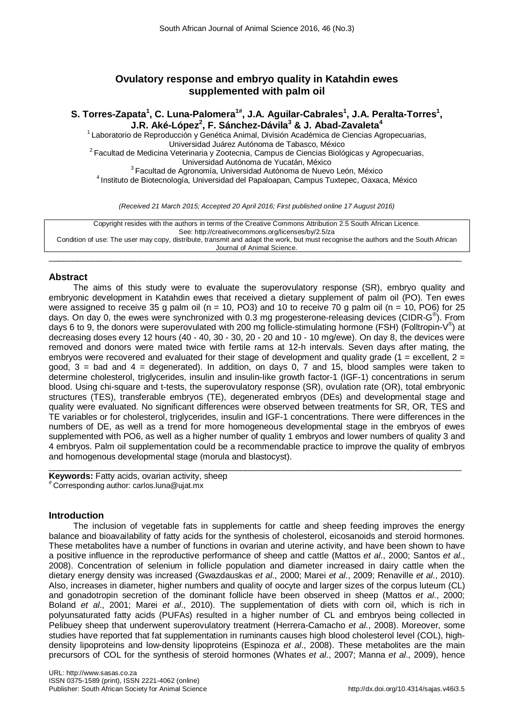# **Ovulatory response and embryo quality in Katahdin ewes supplemented with palm oil**

 $S$ . Torres-Zapata<sup>1</sup>, C. Luna-Palomera<sup>1#</sup>, J.A. Aguilar-Cabrales<sup>1</sup>, J.A. Peralta-Torres<sup>1</sup>, **J.R. Aké-López2 , F. Sánchez-Dávila<sup>3</sup> & J. Abad-Zavaleta<sup>4</sup>**

<sup>1</sup> Laboratorio de Reproducción y Genética Animal, División Académica de Ciencias Agropecuarias,<br>Universidad Juárez Autónoma de Tabasco, México <sup>2</sup> Facultad de Medicina Veterinaria y Zootecnia, Campus de Ciencias Biológicas y Agropecuarias,<br>Universidad Autónoma de Yucatán, México <sup>3</sup> Facultad de Agronomía, Universidad Autónoma de Nuevo León, México <sup>4</sup> Instituto de Biotecnología, Universidad del Papaloapan, Campus Tuxtepec, Oaxaca, México

*(Received 21 March 2015; Accepted 20 April 2016; First published online 17 August 2016)*

Copyright resides with the authors in terms of the Creative Commons Attribution 2.5 South African Licence. See: http://creativecommons.org/licenses/by/2.5/za Condition of use: The user may copy, distribute, transmit and adapt the work, but must recognise the authors and the South African Journal of Animal Science.

 $\_$  ,  $\_$  ,  $\_$  ,  $\_$  ,  $\_$  ,  $\_$  ,  $\_$  ,  $\_$  ,  $\_$  ,  $\_$  ,  $\_$  ,  $\_$  ,  $\_$  ,  $\_$  ,  $\_$  ,  $\_$  ,  $\_$  ,  $\_$  ,  $\_$  ,  $\_$  ,  $\_$  ,  $\_$  ,  $\_$  ,  $\_$  ,  $\_$  ,  $\_$  ,  $\_$  ,  $\_$  ,  $\_$  ,  $\_$  ,  $\_$  ,  $\_$  ,  $\_$  ,  $\_$  ,  $\_$  ,  $\_$  ,  $\_$  ,

# **Abstract**

The aims of this study were to evaluate the superovulatory response (SR), embryo quality and embryonic development in Katahdin ewes that received a dietary supplement of palm oil (PO). Ten ewes were assigned to receive 35 g palm oil (n = 10, PO3) and 10 to receive 70 g palm oil (n = 10, PO6) for 25 days. On day 0, the ewes were synchronized with 0.3 mg progesterone-releasing devices (CIDR-G®). From days 6 to 9, the donors were superovulated with 200 mg follicle-stimulating hormone (FSH) (Folltropin-V®) at decreasing doses every 12 hours (40 - 40, 30 - 30, 20 - 20 and 10 - 10 mg/ewe). On day 8, the devices were removed and donors were mated twice with fertile rams at 12-h intervals. Seven days after mating, the embryos were recovered and evaluated for their stage of development and quality grade (1 = excellent,  $2 =$ good, 3 = bad and 4 = degenerated). In addition, on days 0, 7 and 15, blood samples were taken to determine cholesterol, triglycerides, insulin and insulin-Iike growth factor-1 (IGF-1) concentrations in serum blood. Using chi-square and t-tests, the superovulatory response (SR), ovulation rate (OR), total embryonic structures (TES), transferable embryos (TE), degenerated embryos (DEs) and developmental stage and quality were evaluated. No significant differences were observed between treatments for SR, OR, TES and TE variables or for cholesterol, triglycerides, insulin and IGF-1 concentrations. There were differences in the numbers of DE, as well as a trend for more homogeneous developmental stage in the embryos of ewes supplemented with PO6, as well as a higher number of quality 1 embryos and lower numbers of quality 3 and 4 embryos. Palm oil supplementation could be a recommendable practice to improve the quality of embryos and homogenous developmental stage (morula and blastocyst).

 $\_$  , and the set of the set of the set of the set of the set of the set of the set of the set of the set of the set of the set of the set of the set of the set of the set of the set of the set of the set of the set of th

**Keywords:** Fatty acids, ovarian activity, sheep # Corresponding author: carlos.luna@ujat.mx

## **Introduction**

The inclusion of vegetable fats in supplements for cattle and sheep feeding improves the energy balance and bioavailability of fatty acids for the synthesis of cholesterol, eicosanoids and steroid hormones. These metabolites have a number of functions in ovarian and uterine activity, and have been shown to have a positive influence in the reproductive performance of sheep and cattle (Mattos *et al*., 2000; Santos *et al*., 2008). Concentration of selenium in follicle population and diameter increased in dairy cattle when the dietary energy density was increased (Gwazdauskas *et al*., 2000; Marei *et al*., 2009; Renaville *et al*., 2010). Also, increases in diameter, higher numbers and quality of oocyte and larger sizes of the corpus luteum (CL) and gonadotropin secretion of the dominant follicle have been observed in sheep (Mattos *et al*., 2000; Boland *et al*., 2001; Marei *et al*., 2010). The supplementation of diets with corn oil, which is rich in polyunsaturated fatty acids (PUFAs) resulted in a higher number of CL and embryos being collected in Pelibuey sheep that underwent superovulatory treatment (Herrera-Camacho *et al*., 2008). Moreover, some studies have reported that fat supplementation in ruminants causes high blood cholesterol level (COL), highdensity lipoproteins and low-density lipoproteins (Espinoza *et al*., 2008). These metabolites are the main precursors of COL for the synthesis of steroid hormones (Whates *et al*., 2007; Manna *et al*., 2009), hence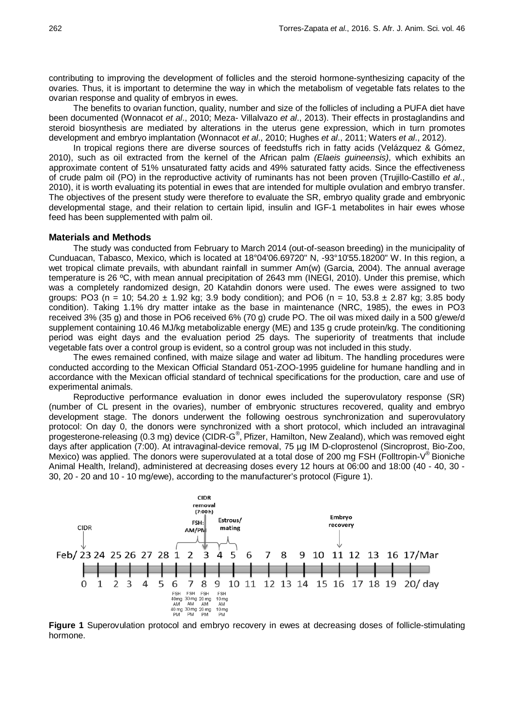contributing to improving the development of follicles and the steroid hormone-synthesizing capacity of the ovaries. Thus, it is important to determine the way in which the metabolism of vegetable fats relates to the ovarian response and quality of embryos in ewes.

The benefits to ovarian function, quality, number and size of the follicles of including a PUFA diet have been documented (Wonnacot *et al*., 2010; Meza- Villalvazo *et al*., 2013). Their effects in prostaglandins and steroid biosynthesis are mediated by alterations in the uterus gene expression, which in turn promotes development and embryo implantation (Wonnacot *et al*., 2010; Hughes *et al*., 2011; Waters *et al*., 2012).

In tropical regions there are diverse sources of feedstuffs rich in fatty acids (Velázquez & Gómez, 2010), such as oil extracted from the kernel of the African palm *(Elaeis guineensis)*, which exhibits an approximate content of 51% unsaturated fatty acids and 49% saturated fatty acids. Since the effectiveness of crude palm oil (PO) in the reproductive activity of ruminants has not been proven (Trujillo-Castillo *et al*., 2010), it is worth evaluating its potential in ewes that are intended for multiple ovulation and embryo transfer. The objectives of the present study were therefore to evaluate the SR, embryo quality grade and embryonic developmental stage, and their relation to certain lipid, insulin and IGF-1 metabolites in hair ewes whose feed has been supplemented with palm oil.

### **Materials and Methods**

The study was conducted from February to March 2014 (out-of-season breeding) in the municipality of Cunduacan, Tabasco, Mexico, which is located at 18°04'06.69720" N, -93°10'55.18200" W. In this region, a wet tropical climate prevails, with abundant rainfall in summer Am(w) (Garcia, 2004). The annual average temperature is 26 ºC, with mean annual precipitation of 2643 mm (INEGI, 2010). Under this premise, which was a completely randomized design, 20 Katahdin donors were used. The ewes were assigned to two groups: PO3 (n = 10;  $54.20 \pm 1.92$  kg; 3.9 body condition); and PO6 (n = 10,  $53.8 \pm 2.87$  kg; 3.85 body condition). Taking 1.1% dry matter intake as the base in maintenance (NRC, 1985), the ewes in PO3 received 3% (35 g) and those in PO6 received 6% (70 g) crude PO. The oil was mixed daily in a 500 g/ewe/d supplement containing 10.46 MJ/kg metabolizable energy (ME) and 135 g crude protein/kg. The conditioning period was eight days and the evaluation period 25 days. The superiority of treatments that include vegetable fats over a control group is evident, so a control group was not included in this study.

The ewes remained confined, with maize silage and water ad libitum. The handling procedures were conducted according to the Mexican Official Standard 051-ZOO-1995 guideline for humane handling and in accordance with the Mexican official standard of technical specifications for the production, care and use of experimental animals.

Reproductive performance evaluation in donor ewes included the superovulatory response (SR) (number of CL present in the ovaries), number of embryonic structures recovered, quality and embryo development stage. The donors underwent the following oestrous synchronization and superovulatory protocol: On day 0, the donors were synchronized with a short protocol, which included an intravaginal progesterone-releasing (0.3 mg) device (CIDR-G®, Pfizer, Hamilton, New Zealand), which was removed eight days after application (7:00). At intravaginal-device removal, 75 µg IM D-cloprostenol (Sincroprost, Bio-Zoo, Mexico) was applied. The donors were superovulated at a total dose of 200 mg FSH (Folltropin-V® Bioniche Animal Health, Ireland), administered at decreasing doses every 12 hours at 06:00 and 18:00 (40 - 40, 30 - 30, 20 - 20 and 10 - 10 mg/ewe), according to the manufacturer's protocol (Figure 1).



**Figure 1** Superovulation protocol and embryo recovery in ewes at decreasing doses of follicle-stimulating hormone.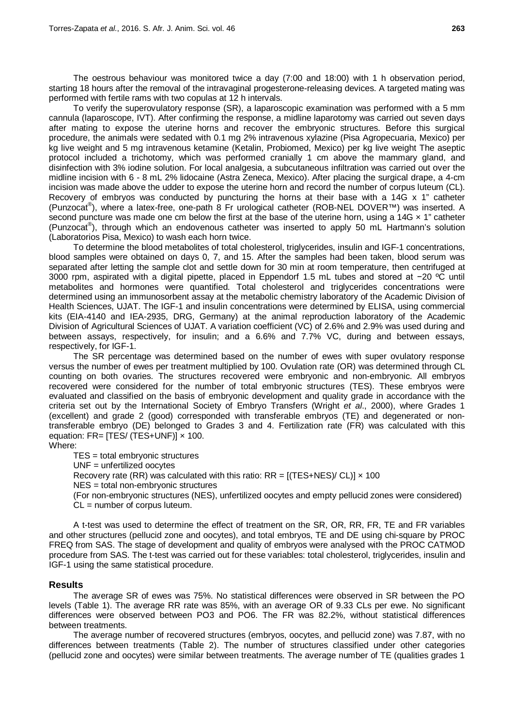The oestrous behaviour was monitored twice a day (7:00 and 18:00) with 1 h observation period, starting 18 hours after the removal of the intravaginal progesterone-releasing devices. A targeted mating was performed with fertile rams with two copulas at 12 h intervals.

To verify the superovulatory response (SR), a laparoscopic examination was performed with a 5 mm cannula (laparoscope, IVT). After confirming the response, a midline laparotomy was carried out seven days after mating to expose the uterine horns and recover the embryonic structures. Before this surgical procedure, the animals were sedated with 0.1 mg 2% intravenous xylazine (Pisa Agropecuaria, Mexico) per kg live weight and 5 mg intravenous ketamine (Ketalin, Probiomed, Mexico) per kg live weight The aseptic protocol included a trichotomy, which was performed cranially 1 cm above the mammary gland, and disinfection with 3% iodine solution. For local analgesia, a subcutaneous infiltration was carried out over the midline incision with 6 - 8 mL 2% lidocaine (Astra Zeneca, Mexico). After placing the surgical drape, a 4-cm incision was made above the udder to expose the uterine horn and record the number of corpus luteum (CL). Recovery of embryos was conducted by puncturing the horns at their base with a 14G x 1" catheter (Punzocat® ), where a latex-free, one-path 8 Fr urological catheter (ROB-NEL DOVER™) was inserted. A second puncture was made one cm below the first at the base of the uterine horn, using a 14G  $\times$  1" catheter (Punzocat® ), through which an endovenous catheter was inserted to apply 50 mL Hartmann's solution (Laboratorios Pisa, Mexico) to wash each horn twice.

To determine the blood metabolites of total cholesterol, triglycerides, insulin and IGF-1 concentrations, blood samples were obtained on days 0, 7, and 15. After the samples had been taken, blood serum was separated after letting the sample clot and settle down for 30 min at room temperature, then centrifuged at 3000 rpm, aspirated with a digital pipette, placed in Eppendorf 1.5 mL tubes and stored at −20 ºC until metabolites and hormones were quantified. Total cholesterol and triglycerides concentrations were determined using an immunosorbent assay at the metabolic chemistry laboratory of the Academic Division of Health Sciences, UJAT. The IGF-1 and insulin concentrations were determined by ELISA, using commercial kits (EIA-4140 and IEA-2935, DRG, Germany) at the animal reproduction laboratory of the Academic Division of Agricultural Sciences of UJAT. A variation coefficient (VC) of 2.6% and 2.9% was used during and between assays, respectively, for insulin; and a 6.6% and 7.7% VC, during and between essays, respectively, for IGF-1.

The SR percentage was determined based on the number of ewes with super ovulatory response versus the number of ewes per treatment multiplied by 100. Ovulation rate (OR) was determined through CL counting on both ovaries. The structures recovered were embryonic and non-embryonic. All embryos recovered were considered for the number of total embryonic structures (TES). These embryos were evaluated and classified on the basis of embryonic development and quality grade in accordance with the criteria set out by the International Society of Embryo Transfers (Wright *et al*., 2000), where Grades 1 (excellent) and grade 2 (good) corresponded with transferable embryos (TE) and degenerated or nontransferable embryo (DE) belonged to Grades 3 and 4. Fertilization rate (FR) was calculated with this equation:  $FR = TES / (TES+UNF) \times 100$ . Where:

TES = total embryonic structures

UNF = unfertilized oocytes

Recovery rate (RR) was calculated with this ratio:  $RR = [(TES+NES)/ CL)] \times 100$ 

NES = total non-embryonic structures

(For non-embryonic structures (NES), unfertilized oocytes and empty pellucid zones were considered) CL = number of corpus luteum.

A t-test was used to determine the effect of treatment on the SR, OR, RR, FR, TE and FR variables and other structures (pellucid zone and oocytes), and total embryos, TE and DE using chi-square by PROC FREQ from SAS. The stage of development and quality of embryos were analysed with the PROC CATMOD procedure from SAS. The t-test was carried out for these variables: total cholesterol, triglycerides, insulin and IGF-1 using the same statistical procedure.

# **Results**

The average SR of ewes was 75%. No statistical differences were observed in SR between the PO levels (Table 1). The average RR rate was 85%, with an average OR of 9.33 CLs per ewe. No significant differences were observed between PO3 and PO6. The FR was 82.2%, without statistical differences between treatments.

The average number of recovered structures (embryos, oocytes, and pellucid zone) was 7.87, with no differences between treatments (Table 2). The number of structures classified under other categories (pellucid zone and oocytes) were similar between treatments. The average number of TE (qualities grades 1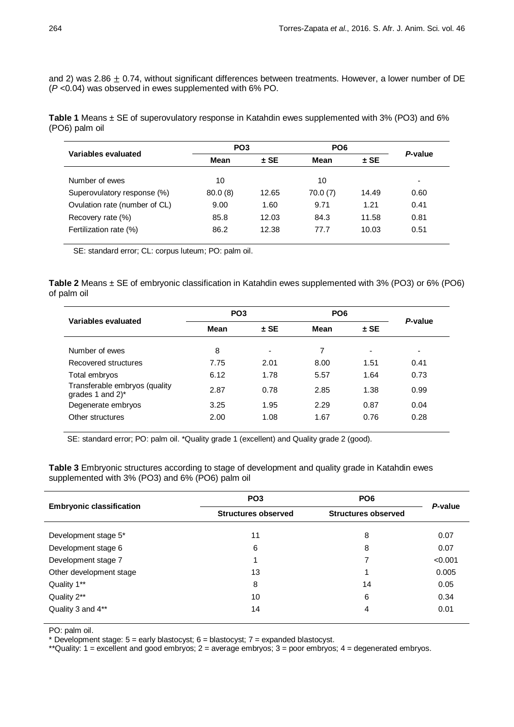and 2) was 2.86  $\pm$  0.74, without significant differences between treatments. However, a lower number of DE (*P* <0.04) was observed in ewes supplemented with 6% PO.

**Table 1** Means ± SE of superovulatory response in Katahdin ewes supplemented with 3% (PO3) and 6% (PO6) palm oil

| Variables evaluated           | PO <sub>3</sub> |        | PO <sub>6</sub> |        |         |
|-------------------------------|-----------------|--------|-----------------|--------|---------|
|                               | Mean            | $±$ SE | <b>Mean</b>     | $±$ SE | P-value |
| Number of ewes                | 10              |        | 10              |        | -       |
| Superovulatory response (%)   | 80.0(8)         | 12.65  | 70.0(7)         | 14.49  | 0.60    |
| Ovulation rate (number of CL) | 9.00            | 1.60   | 9.71            | 1.21   | 0.41    |
| Recovery rate (%)             | 85.8            | 12.03  | 84.3            | 11.58  | 0.81    |
| Fertilization rate (%)        | 86.2            | 12.38  | 77.7            | 10.03  | 0.51    |

SE: standard error; CL: corpus luteum; PO: palm oil.

**Table 2** Means ± SE of embryonic classification in Katahdin ewes supplemented with 3% (PO3) or 6% (PO6) of palm oil

| Variables evaluated                                 | PO <sub>3</sub> |                          | PO <sub>6</sub> |        | P-value |
|-----------------------------------------------------|-----------------|--------------------------|-----------------|--------|---------|
|                                                     | Mean            | $±$ SE                   | Mean            | $±$ SE |         |
| Number of ewes                                      | 8               | $\overline{\phantom{0}}$ | 7               | ٠      |         |
| Recovered structures                                | 7.75            | 2.01                     | 8.00            | 1.51   | 0.41    |
| Total embryos                                       | 6.12            | 1.78                     | 5.57            | 1.64   | 0.73    |
| Transferable embryos (quality<br>grades 1 and $2^*$ | 2.87            | 0.78                     | 2.85            | 1.38   | 0.99    |
| Degenerate embryos                                  | 3.25            | 1.95                     | 2.29            | 0.87   | 0.04    |
| Other structures                                    | 2.00            | 1.08                     | 1.67            | 0.76   | 0.28    |

SE: standard error; PO: palm oil. \*Quality grade 1 (excellent) and Quality grade 2 (good).

**Table 3** Embryonic structures according to stage of development and quality grade in Katahdin ewes supplemented with 3% (PO3) and 6% (PO6) palm oil

|                                 | PO <sub>3</sub>            | PO <sub>6</sub>            | P-value |  |
|---------------------------------|----------------------------|----------------------------|---------|--|
| <b>Embryonic classification</b> | <b>Structures observed</b> | <b>Structures observed</b> |         |  |
| Development stage 5*            | 11                         | 8                          | 0.07    |  |
| Development stage 6             | 6                          | 8                          | 0.07    |  |
| Development stage 7             | 1                          | 7                          | < 0.001 |  |
| Other development stage         | 13                         |                            | 0.005   |  |
| Quality 1**                     | 8                          | 14                         | 0.05    |  |
| Quality 2**                     | 10                         | 6                          | 0.34    |  |
| Quality 3 and 4**               | 14                         | 4                          | 0.01    |  |

PO: palm oil.

\* Development stage:  $5 =$  early blastocyst;  $6 =$  blastocyst;  $7 =$  expanded blastocyst.

\*\*Quality: 1 = excellent and good embryos; 2 = average embryos; 3 = poor embryos; 4 = degenerated embryos.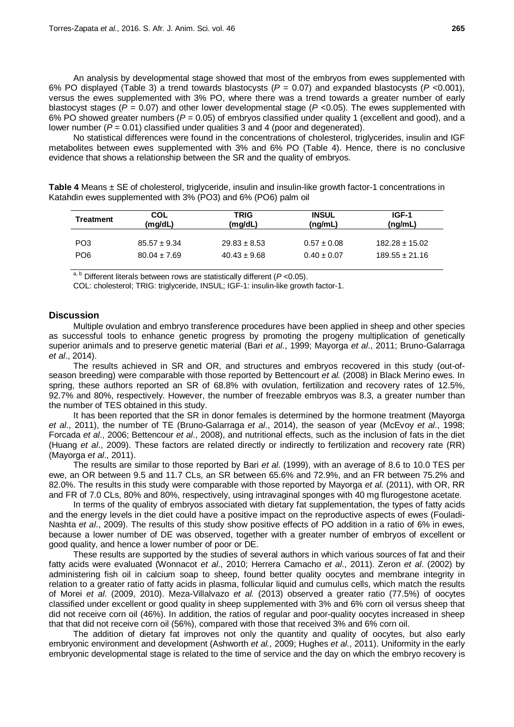An analysis by developmental stage showed that most of the embryos from ewes supplemented with 6% PO displayed (Table 3) a trend towards blastocysts (*P* = 0.07) and expanded blastocysts (*P* <0.001), versus the ewes supplemented with 3% PO, where there was a trend towards a greater number of early blastocyst stages (*P* = 0.07) and other lower developmental stage (*P* <0.05). The ewes supplemented with 6% PO showed greater numbers (*P* = 0.05) of embryos classified under quality 1 (excellent and good), and a lower number ( $P = 0.01$ ) classified under qualities 3 and 4 (poor and degenerated).

No statistical differences were found in the concentrations of cholesterol, triglycerides, insulin and IGF metabolites between ewes supplemented with 3% and 6% PO (Table 4). Hence, there is no conclusive evidence that shows a relationship between the SR and the quality of embryos.

| Table 4 Means ± SE of cholesterol, triglyceride, insulin and insulin-like growth factor-1 concentrations in |  |
|-------------------------------------------------------------------------------------------------------------|--|
| Katahdin ewes supplemented with 3% (PO3) and 6% (PO6) palm oil                                              |  |

| Treatment       | <b>COL</b><br>(mq/dL) | <b>TRIG</b><br>(mq/dL) | <b>INSUL</b><br>(ng/mL) | IGF-1<br>(ng/mL)   |
|-----------------|-----------------------|------------------------|-------------------------|--------------------|
| PO <sub>3</sub> | $85.57 \pm 9.34$      | $29.83 \pm 8.53$       | $0.57 \pm 0.08$         | $182.28 \pm 15.02$ |
| PO <sub>6</sub> | $80.04 \pm 7.69$      | $40.43 \pm 9.68$       | $0.40 \pm 0.07$         | $189.55 \pm 21.16$ |

 $a, b$  Different literals between rows are statistically different ( $P$  < 0.05).

COL: cholesterol; TRIG: triglyceride, INSUL; IGF-1: insulin-like growth factor-1.

## **Discussion**

Multiple ovulation and embryo transference procedures have been applied in sheep and other species as successful tools to enhance genetic progress by promoting the progeny multiplication of genetically superior animals and to preserve genetic material (Bari *et al*., 1999; Mayorga *et al*., 2011; Bruno-Galarraga *et al*., 2014).

The results achieved in SR and OR, and structures and embryos recovered in this study (out-ofseason breeding) were comparable with those reported by Bettencourt *et al.* (2008) in Black Merino ewes. In spring, these authors reported an SR of 68.8% with ovulation, fertilization and recovery rates of 12.5%, 92.7% and 80%, respectively. However, the number of freezable embryos was 8.3, a greater number than the number of TES obtained in this study.

It has been reported that the SR in donor females is determined by the hormone treatment (Mayorga *et al*., 2011), the number of TE (Bruno-Galarraga *et al*., 2014), the season of year (McEvoy *et al*., 1998; Forcada *et al*., 2006; Bettencour *et al*., 2008), and nutritional effects, such as the inclusion of fats in the diet (Huang *et al*., 2009). These factors are related directly or indirectly to fertilization and recovery rate (RR) (Mayorga *et al*., 2011).

The results are similar to those reported by Bari *et al*. (1999), with an average of 8.6 to 10.0 TES per ewe, an OR between 9.5 and 11.7 CLs, an SR between 65.6% and 72.9%, and an FR between 75.2% and 82.0%. The results in this study were comparable with those reported by Mayorga *et al.* (2011), with OR, RR and FR of 7.0 CLs, 80% and 80%, respectively, using intravaginal sponges with 40 mg flurogestone acetate.

In terms of the quality of embryos associated with dietary fat supplementation, the types of fatty acids and the energy levels in the diet could have a positive impact on the reproductive aspects of ewes (Fouladi-Nashta *et al*., 2009). The results of this study show positive effects of PO addition in a ratio of 6% in ewes, because a lower number of DE was observed, together with a greater number of embryos of excellent or good quality, and hence a lower number of poor or DE.

These results are supported by the studies of several authors in which various sources of fat and their fatty acids were evaluated (Wonnacot *et al*., 2010; Herrera Camacho *et al*., 2011). Zeron *et al*. (2002) by administering fish oil in calcium soap to sheep, found better quality oocytes and membrane integrity in relation to a greater ratio of fatty acids in plasma, follicular liquid and cumulus cells, which match the results of Morei *et al*. (2009, 2010). Meza-Villalvazo *et al.* (2013) observed a greater ratio (77.5%) of oocytes classified under excellent or good quality in sheep supplemented with 3% and 6% corn oil versus sheep that did not receive corn oil (46%). In addition, the ratios of regular and poor-quality oocytes increased in sheep that that did not receive corn oil (56%), compared with those that received 3% and 6% corn oil.

The addition of dietary fat improves not only the quantity and quality of oocytes, but also early embryonic environment and development (Ashworth *et al.,* 2009; Hughes *et al*., 2011). Uniformity in the early embryonic developmental stage is related to the time of service and the day on which the embryo recovery is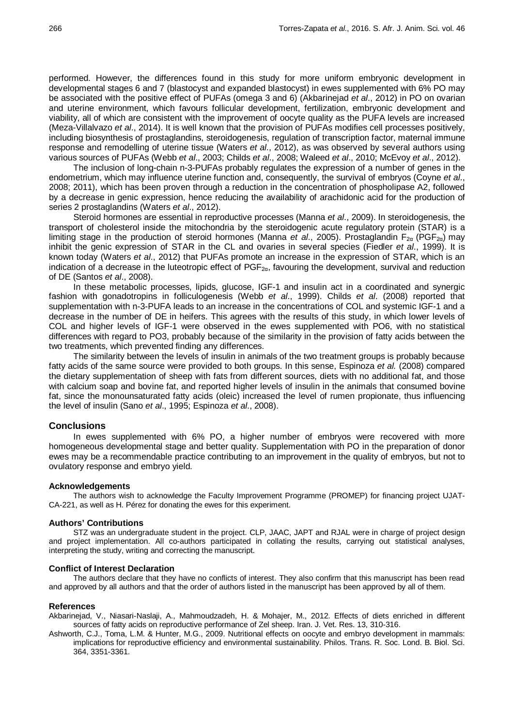performed. However, the differences found in this study for more uniform embryonic development in developmental stages 6 and 7 (blastocyst and expanded blastocyst) in ewes supplemented with 6% PO may be associated with the positive effect of PUFAs (omega 3 and 6) (Akbarinejad *et al*., 2012) in PO on ovarian and uterine environment, which favours follicular development, fertilization, embryonic development and viability, all of which are consistent with the improvement of oocyte quality as the PUFA levels are increased (Meza-Villalvazo *et al*., 2014). It is well known that the provision of PUFAs modifies cell processes positively, including biosynthesis of prostaglandins, steroidogenesis, regulation of transcription factor, maternal immune response and remodelling of uterine tissue (Waters *et al*., 2012), as was observed by several authors using various sources of PUFAs (Webb *et al*., 2003; Childs *et al*., 2008; Waleed *et al*., 2010; McEvoy *et al*., 2012).

The inclusion of long-chain n-3-PUFAs probably regulates the expression of a number of genes in the endometrium, which may influence uterine function and, consequently, the survival of embryos (Coyne *et al*., 2008; 2011), which has been proven through a reduction in the concentration of phospholipase A2, followed by a decrease in genic expression, hence reducing the availability of arachidonic acid for the production of series 2 prostaglandins (Waters *et al*., 2012).

Steroid hormones are essential in reproductive processes (Manna *et al*., 2009). In steroidogenesis, the transport of cholesterol inside the mitochondria by the steroidogenic acute regulatory protein (STAR) is a limiting stage in the production of steroid hormones (Manna *et al.*, 2005). Prostaglandin F<sub>2α</sub> (PGF<sub>2α</sub>) may inhibit the genic expression of STAR in the CL and ovaries in several species (Fiedler *et al*., 1999). It is known today (Waters *et al*., 2012) that PUFAs promote an increase in the expression of STAR, which is an indication of a decrease in the luteotropic effect of  $PGF_{2\alpha}$ , favouring the development, survival and reduction of DE (Santos *et al*., 2008).

In these metabolic processes, lipids, glucose, IGF-1 and insulin act in a coordinated and synergic fashion with gonadotropins in folliculogenesis (Webb *et al*., 1999). Childs *et al*. (2008) reported that supplementation with n-3-PUFA leads to an increase in the concentrations of COL and systemic IGF-1 and a decrease in the number of DE in heifers. This agrees with the results of this study, in which lower levels of COL and higher levels of IGF-1 were observed in the ewes supplemented with PO6, with no statistical differences with regard to PO3, probably because of the similarity in the provision of fatty acids between the two treatments, which prevented finding any differences.

The similarity between the levels of insulin in animals of the two treatment groups is probably because fatty acids of the same source were provided to both groups. In this sense, Espinoza *et al.* (2008) compared the dietary supplementation of sheep with fats from different sources, diets with no additional fat, and those with calcium soap and bovine fat, and reported higher levels of insulin in the animals that consumed bovine fat, since the monounsaturated fatty acids (oleic) increased the level of rumen propionate, thus influencing the level of insulin (Sano *et al*., 1995; Espinoza *et al*., 2008).

#### **Conclusions**

In ewes supplemented with 6% PO, a higher number of embryos were recovered with more homogeneous developmental stage and better quality. Supplementation with PO in the preparation of donor ewes may be a recommendable practice contributing to an improvement in the quality of embryos, but not to ovulatory response and embryo yield.

### **Acknowledgements**

The authors wish to acknowledge the Faculty Improvement Programme (PROMEP) for financing project UJAT-CA-221, as well as H. Pérez for donating the ewes for this experiment.

#### **Authors' Contributions**

STZ was an undergraduate student in the project. CLP, JAAC, JAPT and RJAL were in charge of project design and project implementation. All co-authors participated in collating the results, carrying out statistical analyses, interpreting the study, writing and correcting the manuscript.

#### **Conflict of Interest Declaration**

The authors declare that they have no conflicts of interest. They also confirm that this manuscript has been read and approved by all authors and that the order of authors listed in the manuscript has been approved by all of them.

### **References**

- [Akbarinejad,](http://ijvr.shirazu.ac.ir/?_action=article&au=8332&_au=V.++Akbarinejad) V., [Niasari-Naslaji, A.,](http://ijvr.shirazu.ac.ir/?_action=article&au=1866&_au=A.++Niasari-Naslaji) [Mahmoudzadeh,](http://ijvr.shirazu.ac.ir/?_action=article&au=1866&_au=A.++Niasari-Naslaji) H. & [Mohajer,](http://ijvr.shirazu.ac.ir/?_action=article&au=8334&_au=M.++Mohajer) M., 2012. Effects of diets enriched in different sources of fatty acids on reproductive performance of Zel sheep. Iran. J. Vet. Res. 13, 310-316.
- [Ashworth, C.J.,](https://www.ncbi.nlm.nih.gov/pubmed/?term=Ashworth%20CJ%5bAuthor%5d&cauthor=true&cauthor_uid=19833647) [Toma,](https://www.ncbi.nlm.nih.gov/pubmed/?term=Toma%20LM%5bAuthor%5d&cauthor=true&cauthor_uid=19833647) L.M. & [Hunter,](https://www.ncbi.nlm.nih.gov/pubmed/?term=Hunter%20MG%5bAuthor%5d&cauthor=true&cauthor_uid=19833647) M.G., 2009. Nutritional effects on oocyte and embryo development in mammals: implications for reproductive efficiency and environmental sustainability. [Philos.](https://www.ncbi.nlm.nih.gov/pubmed/?term=ashworth+et+al.+2009%2c+embryo+quality) Trans. R. Soc. Lond. B. Biol. Sci. 364, 3351-3361.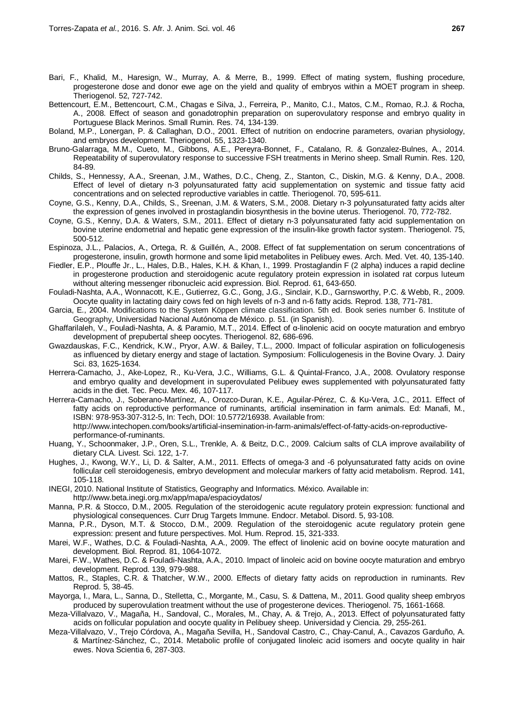- Bari, F., Khalid, M., Haresign, W., Murray, A. & Merre, B., 1999. Effect of mating system, flushing procedure, progesterone dose and donor ewe age on the yield and quality of embryos within a MOET program in sheep. Theriogenol. 52, 727-742.
- Bettencourt, E.M., Bettencourt, C.M., Chagas e Silva, J., Ferreira, P., Manito, C.I., Matos, C.M., Romao, R.J. & Rocha, A., 2008. Effect of season and gonadotrophin preparation on superovulatory response and embryo quality in Portuguese Black Merinos. Small Rumin. Res. 74, 134-139.
- Boland, M.P., Lonergan, P. & Callaghan, D.O., 2001. Effect of nutrition on endocrine parameters, ovarian physiology, and embryos development. Theriogenol. 55, 1323-1340.
- Bruno-Galarraga, M.M., Cueto, M., Gibbons, A.E., Pereyra-Bonnet, F., Catalano, R. & Gonzalez-Bulnes, A., 2014. Repeatability of superovulatory response to successive FSH treatments in Merino sheep. Small Rumin. Res. 120, 84-89.
- Childs, S., Hennessy, A.A., Sreenan, J.M., Wathes, D.C., Cheng, Z., Stanton, C., Diskin, M.G. & Kenny, D.A., 2008. Effect of level of dietary n-3 polyunsaturated fatty acid supplementation on systemic and tissue fatty acid concentrations and on selected reproductive variables in cattle. Theriogenol. 70, 595-611.
- Coyne, G.S., Kenny, D.A., Childs, S., Sreenan, J.M. & Waters, S.M., 2008. Dietary n-3 polyunsaturated fatty acids alter the expression of genes involved in prostaglandin biosynthesis in the bovine uterus. Theriogenol. 70, 772-782.
- Coyne, G.S., Kenny, D.A. & Waters, S.M., 2011. Effect of dietary n-3 polyunsaturated fatty acid supplementation on bovine uterine endometrial and hepatic gene expression of the insulin-like growth factor system. Theriogenol. 75, 500-512.
- Espinoza, J.L., Palacios, A., Ortega, R. & Guillén, A., 2008. Effect of fat supplementation on serum concentrations of progesterone, insulin, growth hormone and some lipid metabolites in Pelibuey ewes. Arch. Med. Vet. 40, 135-140.
- Fiedler, E.P., Plouffe Jr., L., Hales, D.B., Hales, K.H. & Khan, I., 1999. Prostaglandin F (2 alpha) induces a rapid decline in progesterone production and steroidogenic acute regulatory protein expression in isolated rat corpus luteum without altering messenger ribonucleic acid expression. Biol. Reprod. 61, 643-650.
- Fouladi-Nashta, A.A., Wonnacott, K.E., Gutierrez, G.C., Gong, J.G., Sinclair, K.D., Garnsworthy, P.C. & Webb, R., 2009. Oocyte quality in lactating dairy cows fed on high levels of n-3 and n-6 fatty acids. Reprod. 138, 771-781.
- Garcia, E., 2004. Modifications to the System Köppen climate classification. 5th ed. Book series number 6. Institute of Geography, Universidad Nacional Autónoma de México. p. 51. (in Spanish).
- [Ghaffarilaleh,](http://www.ncbi.nlm.nih.gov/pubmed/?term=Ghaffarilaleh%20V%5BAuthor%5D&cauthor=true&cauthor_uid=25015785) V., [Fouladi-Nashta,](http://www.ncbi.nlm.nih.gov/pubmed/?term=Fouladi-Nashta%20A%5BAuthor%5D&cauthor=true&cauthor_uid=25015785) A. & [Paramio,](http://www.ncbi.nlm.nih.gov/pubmed/?term=Paramio%20MT%5BAuthor%5D&cauthor=true&cauthor_uid=25015785) M.T., 2014. Effect of α-linolenic acid on oocyte maturation and embryo development of prepubertal sheep oocytes. Theriogenol. 82, 686-696.
- Gwazdauskas, F.C., Kendrick, K.W., Pryor, A.W. & Bailey, T.L., 2000. Impact of follicular aspiration on folliculogenesis as influenced by dietary energy and stage of lactation. Symposium: Folliculogenesis in the Bovine Ovary. J. Dairy Sci. 83, 1625-1634.
- Herrera-Camacho, J., Ake-Lopez, R., Ku-Vera, J.C., Williams, G.L. & Quintal-Franco, J.A., 2008. Ovulatory response and embryo quality and development in superovulated Pelibuey ewes supplemented with polyunsaturated fatty acids in the diet. Tec. Pecu. Mex. 46, 107-117.
- Herrera-Camacho, J., Soberano-Martínez, A., Orozco-Duran, K.E., Aguilar-Pérez, C. & Ku-Vera, J.C., 2011. Effect of fatty acids on reproductive performance of ruminants, artificial insemination in farm animals. Ed: Manafi, M., ISBN: 978-953-307-312-5, In: Tech, DOI: 10.5772/16938. Available from: [http://www.intechopen.com/books/artificial-insemination-in-farm-animals/effect-of-fatty-acids-on-reproductive](http://www.intechopen.com/books/artificial-insemination-in-farm-animals/effect-of-fatty-acids-on-reproductive-performance-of-ruminants)[performance-of-ruminants.](http://www.intechopen.com/books/artificial-insemination-in-farm-animals/effect-of-fatty-acids-on-reproductive-performance-of-ruminants)
- Huang, Y., Schoonmaker, J.P., Oren, S.L., Trenkle, A. & Beitz, D.C., 2009. Calcium salts of CLA improve availability of dietary CLA. Livest. Sci. 122, 1-7.
- [Hughes,](http://www.ncbi.nlm.nih.gov/pubmed/?term=Hughes%20J%5BAuthor%5D&cauthor=true&cauthor_uid=21045166) J., [Kwong,](http://www.ncbi.nlm.nih.gov/pubmed/?term=Kwong%20WY%5BAuthor%5D&cauthor=true&cauthor_uid=21045166) W.Y., [Li,](http://www.ncbi.nlm.nih.gov/pubmed/?term=Li%20D%5BAuthor%5D&cauthor=true&cauthor_uid=21045166) D. & [Salter,](http://www.ncbi.nlm.nih.gov/pubmed/?term=Salter%20AM%5BAuthor%5D&cauthor=true&cauthor_uid=21045166) A.M., 2011. Effects of omega-3 and -6 polyunsaturated fatty acids on ovine follicular cell steroidogenesis, embryo development and molecular markers of fatty acid metabolism. Reprod. 141, 105-118.
- INEGI, 2010. National Institute of Statistics, Geography and Informatics. México. Available in: http://www.beta.inegi.org.mx/app/mapa/espacioydatos/
- Manna, P.R. & Stocco, D.M., 2005. Regulation of the steroidogenic acute regulatory protein expression: functional and physiological consequences. Curr Drug Targets Immune. Endocr. Metabol. Disord. 5, 93-108.
- Manna, P.R., Dyson, M.T. & Stocco, D.M., 2009. Regulation of the steroidogenic acute regulatory protein gene expression: present and future perspectives. Mol. Hum. Reprod. 15, 321-333.
- Marei, W.F., Wathes, D.C. & Fouladi-Nashta, A.A., 2009. The effect of linolenic acid on bovine oocyte maturation and development. Biol. Reprod. 81, 1064-1072.
- Marei, F.W., Wathes, D.C. & Fouladi-Nashta, A.A., 2010. Impact of linoleic acid on bovine oocyte maturation and embryo development. Reprod. 139, 979-988.
- [Mattos,](http://www.ncbi.nlm.nih.gov/pubmed?term=Mattos%20R%5BAuthor%5D&cauthor=true&cauthor_uid=10711734) R., [Staples,](http://www.ncbi.nlm.nih.gov/pubmed?term=Staples%20CR%5BAuthor%5D&cauthor=true&cauthor_uid=10711734) C.R. & [Thatcher,](http://www.ncbi.nlm.nih.gov/pubmed?term=Thatcher%20WW%5BAuthor%5D&cauthor=true&cauthor_uid=10711734) W.W., 2000. Effects of dietary fatty acids on reproduction in ruminants. [Rev](http://www.ncbi.nlm.nih.gov/pubmed/10711734)  [Reprod.](http://www.ncbi.nlm.nih.gov/pubmed/10711734) 5, 38-45.
- Mayorga, I., Mara, L., Sanna, D., Stelletta, C., Morgante, M., Casu, S. & Dattena, M., 2011. Good quality sheep embryos produced by superovulation treatment without the use of progesterone devices. Theriogenol. 75, 1661-1668.
- Meza-Villalvazo, V., Magaña, H., Sandoval, C., Morales, M., Chay, A. & Trejo, A., 2013. Effect of polyunsaturated fatty acids on follicular population and oocyte quality in Pelibuey sheep. Universidad y Ciencia. 29, 255-261.
- Meza-Villalvazo, V., Trejo Córdova, A., Magaña Sevilla, H., Sandoval Castro, C., Chay-Canul, A., Cavazos Garduño, A. & Martínez-Sánchez, C., 2014. Metabolic profile of conjugated linoleic acid isomers and oocyte quality in hair ewes. Nova Scientia 6, 287-303.